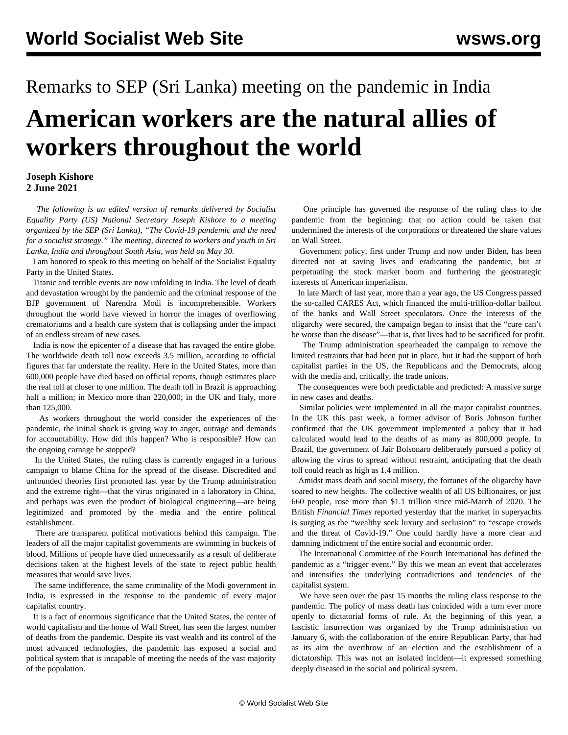## Remarks to SEP (Sri Lanka) meeting on the pandemic in India **American workers are the natural allies of workers throughout the world**

## **Joseph Kishore 2 June 2021**

 *The following is an edited version of remarks delivered by Socialist Equality Party (US) National Secretary Joseph Kishore to a meeting organized by the SEP (Sri Lanka), ["The Covid-19 pandemic and the need](/en/articles/2021/06/01/meet-j01.html) [for a socialist strategy](/en/articles/2021/06/01/meet-j01.html)." The meeting, directed to workers and youth in Sri Lanka, India and throughout South Asia, was held on May 30.*

 I am honored to speak to this meeting on behalf of the Socialist Equality Party in the United States.

 Titanic and terrible events are now unfolding in India. The level of death and devastation wrought by the pandemic and the criminal response of the BJP government of Narendra Modi is incomprehensible. Workers throughout the world have viewed in horror the images of overflowing crematoriums and a health care system that is collapsing under the impact of an endless stream of new cases.

 India is now the epicenter of a disease that has ravaged the entire globe. The worldwide death toll now exceeds 3.5 million, according to official figures that far understate the reality. Here in the United States, more than 600,000 people have died based on official reports, though estimates place the real toll at closer to one million. The death toll in Brazil is approaching half a million; in Mexico more than 220,000; in the UK and Italy, more than 125,000.

 As workers throughout the world consider the experiences of the pandemic, the initial shock is giving way to anger, outrage and demands for accountability. How did this happen? Who is responsible? How can the ongoing carnage be stopped?

 In the United States, the ruling class is currently engaged in a furious campaign to blame China for the spread of the disease. Discredited and unfounded theories first promoted last year by the Trump administration and the extreme right—that the virus originated in a laboratory in China, and perhaps was even the product of biological engineering—are being legitimized and promoted by the media and the entire political establishment.

 There are transparent political motivations behind this campaign. The leaders of all the major capitalist governments are swimming in buckets of blood. Millions of people have died unnecessarily as a result of deliberate decisions taken at the highest levels of the state to reject public health measures that would save lives.

 The same indifference, the same criminality of the Modi government in India, is expressed in the response to the pandemic of every major capitalist country.

 It is a fact of enormous significance that the United States, the center of world capitalism and the home of Wall Street, has seen the largest number of deaths from the pandemic. Despite its vast wealth and its control of the most advanced technologies, the pandemic has exposed a social and political system that is incapable of meeting the needs of the vast majority of the population.

 One principle has governed the response of the ruling class to the pandemic from the beginning: that no action could be taken that undermined the interests of the corporations or threatened the share values on Wall Street.

 Government policy, first under Trump and now under Biden, has been directed not at saving lives and eradicating the pandemic, but at perpetuating the stock market boom and furthering the geostrategic interests of American imperialism.

 In late March of last year, more than a year ago, the US Congress passed the so-called CARES Act, which financed the multi-trillion-dollar bailout of the banks and Wall Street speculators. Once the interests of the oligarchy were secured, the campaign began to insist that the "cure can't be worse than the disease"—that is, that lives had to be sacrificed for profit.

 The Trump administration spearheaded the campaign to remove the limited restraints that had been put in place, but it had the support of both capitalist parties in the US, the Republicans and the Democrats, along with the media and, critically, the trade unions.

 The consequences were both predictable and predicted: A massive surge in new cases and deaths.

 Similar policies were implemented in all the major capitalist countries. In the UK this past week, a former advisor of Boris Johnson further confirmed that the UK government implemented a policy that it had calculated would lead to the deaths of as many as 800,000 people. In Brazil, the government of Jair Bolsonaro deliberately pursued a policy of allowing the virus to spread without restraint, anticipating that the death toll could reach as high as 1.4 million.

 Amidst mass death and social misery, the fortunes of the oligarchy have soared to new heights. The collective wealth of all US billionaires, or just 660 people, rose more than \$1.1 trillion since mid-March of 2020. The British *Financial Times* reported yesterday that the market in superyachts is surging as the "wealthy seek luxury and seclusion" to "escape crowds and the threat of Covid-19." One could hardly have a more clear and damning indictment of the entire social and economic order.

 The International Committee of the Fourth International has defined the pandemic as a "trigger event." By this we mean an event that accelerates and intensifies the underlying contradictions and tendencies of the capitalist system.

 We have seen over the past 15 months the ruling class response to the pandemic. The policy of mass death has coincided with a turn ever more openly to dictatorial forms of rule. At the beginning of this year, a fascistic insurrection was organized by the Trump administration on January 6, with the collaboration of the entire Republican Party, that had as its aim the overthrow of an election and the establishment of a dictatorship. This was not an isolated incident—it expressed something deeply diseased in the social and political system.